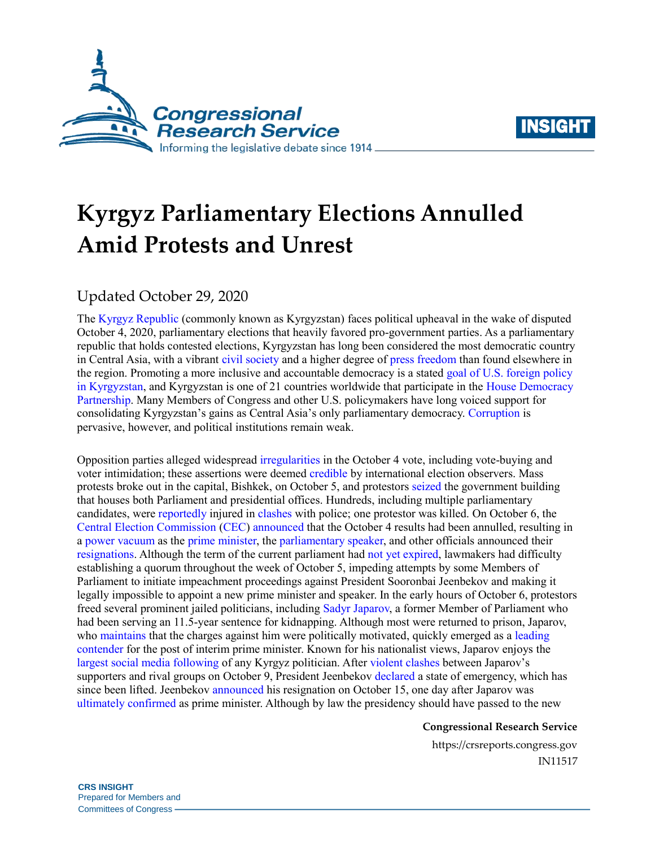



# **Kyrgyz Parliamentary Elections Annulled Amid Protests and Unrest**

## Updated October 29, 2020

The [Kyrgyz Republic](https://crsreports.congress.gov/product/pdf/IF/IF10304) (commonly known as Kyrgyzstan) faces political upheaval in the wake of disputed October 4, 2020, parliamentary elections that heavily favored pro-government parties. As a parliamentary republic that holds contested elections, Kyrgyzstan has long been considered the most democratic country in Central Asia, with a vibrant [civil society](https://freedomhouse.org/country/kyrgyzstan/nations-transit/2020) and a higher degree o[f press freedom](https://rsf.org/en/kyrgyzstan) than found elsewhere in the region. Promoting a more inclusive and accountable democracy is a stated [goal of U.S. foreign policy](https://www.state.gov/wp-content/uploads/2019/01/ICS-Kyrgyz-Rep_UNCLASS_508.pdf)  [in Kyrgyzstan,](https://www.state.gov/wp-content/uploads/2019/01/ICS-Kyrgyz-Rep_UNCLASS_508.pdf) and Kyrgyzstan is one of 21 countries worldwide that participate in the [House Democracy](https://hdp.house.gov/sites/housedemocracypartnership.house.gov/files/Kyrgyzstan%20One-Pager.pdf)  [Partnership.](https://hdp.house.gov/sites/housedemocracypartnership.house.gov/files/Kyrgyzstan%20One-Pager.pdf) Many Members of Congress and other U.S. policymakers have long voiced support for consolidating Kyrgyzstan's gains as Central Asia's only parliamentary democracy. [Corruption](https://www.transparency.org/en/cpi/2019/results/kgz#details) is pervasive, however, and political institutions remain weak.

Opposition parties alleged widespread [irregularities](https://www.rferl.org/a/vote-buying-russia-and-criminal-finances-take-center-stage-as-kyrgyzstan-voters-head-to-polls/30873373.html) in the October 4 vote, including vote-buying and voter intimidation; these assertions were deemed [credible](https://www.osce.org/files/f/documents/b/6/465735.pdf) by international election observers. Mass protests broke out in the capital, Bishkek, on October 5, and protestors [seized](https://eurasianet.org/as-dawn-breaks-in-kyrgyzstan-protesters-control-government-buildings) the government building that houses both Parliament and presidential offices. Hundreds, including multiple parliamentary candidates, were [reportedly](https://www.bbc.com/news/world-asia-54422884) injured in [clashes](https://eurasianet.org/as-dawn-breaks-in-kyrgyzstan-protesters-control-government-buildings) with police; one protestor was killed. On October 6, the [Central Election Commission](https://www.legislationline.org/download/id/7571/file/Kyrgyzstan_Law%20on%20Election%20Commissions_am2017_ENG.pdf) [\(CEC\)](https://www.legislationline.org/download/id/7361/file/Kyrgyzstan_Law_Presidential_JK_Elections_2011_am2017_en.pdf) [announced](https://shailoo.gov.kg/ru/news/3702/) that the October 4 results had been annulled, resulting in a [power vacuum](https://www.bbc.com/news/world-asia-54458948) as the [prime minister,](https://24.kg/english/167973_Prime_Minister_of_Kyrgyzstan_Kubatbek_Boronov_resigns/) the [parliamentary speaker,](https://24.kg/english/167968_Speaker_of_Parliament_Dastanbek_Dzhumabekov_resigns/) and other officials announced their [resignations.](https://thediplomat.com/2020/10/does-kyrgyzstans-post-election-chaos-put-it-on-the-road-to-revolution/) Although the term of the current parliament had [not yet expired,](https://www.legislationline.org/download/id/3116/file/Kyrgyz%20Constitution%20-%20adopted%20by%20referendum%2027%20Jun2010_f_EN.pdf#page=18) lawmakers had difficulty establishing a quorum throughout the week of October 5, impeding attempts by some Members of Parliament to initiate impeachment proceedings against President Sooronbai Jeenbekov and making it legally impossible to appoint a new prime minister and speaker. In the early hours of October 6, protestors freed several prominent jailed politicians, including [Sadyr Japarov,](https://carnegie.ru/commentary/83046) a former Member of Parliament who had been serving an 11.5-year sentence for kidnapping. Although most were returned to prison, Japarov, who [maintains](https://www.aljazeera.com/program/talk-to-al-jazeera/2020/10/20/sadyr-japarov-kyrgyzstan-needs-to-change-political-culture/) that the charges against him were politically motivated, quickly emerged as a leading [contender](https://www.rferl.org/a/a-hidden-force-in-kyrgyzstan-hijacks-the-opposition-s-push-for-big-changes/30891583.html) for the post of interim prime minister. Known for his nationalist views, Japarov enjoys the [largest social media following](https://www.opendemocracy.net/en/odr/how-kyrgyz-social-media-backed-an-imprisoned-politicians-meteoric-rise-to-power/) of any Kyrgyz politician. After [violent clashes](https://eurasianet.org/kyrgyzstan-political-crisis-brings-fresh-violence-to-capital) between Japarov's supporters and rival groups on October 9, President Jeenbekov [declared](https://24.kg/english/168561_State_of_emergency_imposed_in_Bishkek/) a state of emergency, which has since been lifted. Jeenbekov [announced](https://thediplomat.com/2020/10/kyrgyz-president-jeenbekov-offers-resignation/) his resignation on October 15, one day after Japarov was [ultimately confirmed](https://eurasianet.org/kyrgyzstan-japarovs-nomination-as-pm-pauses-crisis) as prime minister. Although by law the presidency should have passed to the new

#### **Congressional Research Service**

https://crsreports.congress.gov IN11517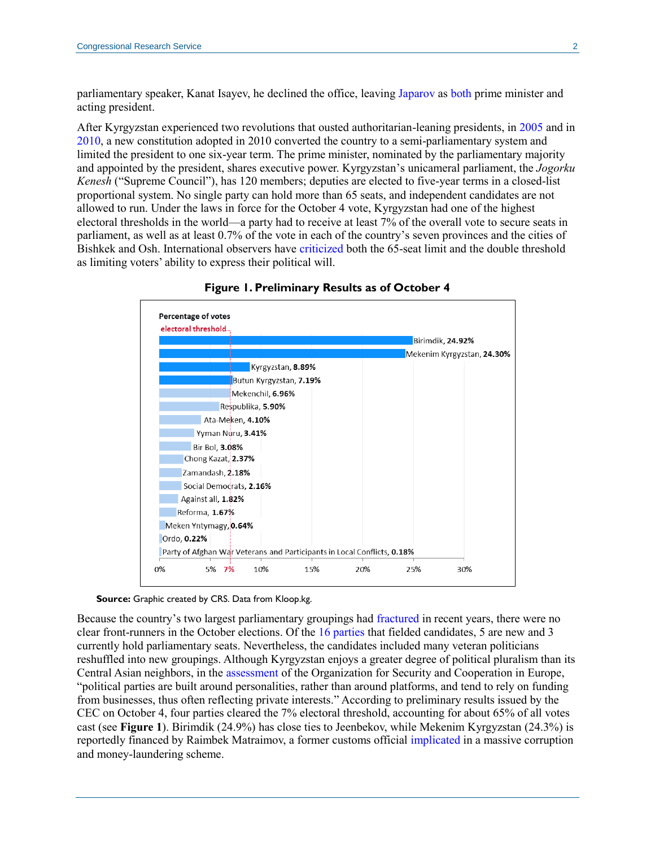parliamentary speaker, Kanat Isayev, he declined the office, leaving [Japarov](https://eurasianet.org/kyrgyzstan-japarov-seizes-all-levers-of-power) as [both](https://www.rferl.org/a/presidential-powers-in-kyrgyzstan-transferred-to-newly-elected-pm-japarov/30896287.html) prime minister and acting president.

After Kyrgyzstan experienced two revolutions that ousted authoritarian-leaning presidents, i[n 2005](https://www.rferl.org/a/Rethinking_Kyrgyzstans_Tulip_Revolution/1807335.html) and in [2010,](https://thediplomat.com/2015/04/remembering-kyrgyzstans-revolutions/) a new constitution adopted in 2010 converted the country to a semi-parliamentary system and limited the president to one six-year term. The prime minister, nominated by the parliamentary majority and appointed by the president, shares executive power. Kyrgyzstan's unicameral parliament, the *Jogorku Kenesh* ("Supreme Council"), has 120 members; deputies are elected to five-year terms in a closed-list proportional system. No single party can hold more than 65 seats, and independent candidates are not allowed to run. Under the laws in force for the October 4 vote, Kyrgyzstan had one of the highest electoral thresholds in the world—a party had to receive at least 7% of the overall vote to secure seats in parliament, as well as at least 0.7% of the vote in each of the country's seven provinces and the cities of Bishkek and Osh. International observers have [criticized](https://www.osce.org/files/f/documents/a/c/219186.pdf) both the 65-seat limit and the double threshold as limiting voters' ability to express their political will.

<span id="page-1-0"></span>



**Source:** Graphic created by CRS. Data from Kloop.kg.

Because the country's two largest parliamentary groupings had [fractured](https://www.rferl.org/a/the-biggest-party-in-kyrgyzstan-continues-to-splinter-amid-infighting/30641640.html) in recent years, there were no clear front-runners in the October elections. Of the [16 parties](https://www.rferl.org/a/kyrgyzstan-a-guide-to-the-parties-competing-in-the-parliamentary-elections/30871908.html) that fielded candidates, 5 are new and 3 currently hold parliamentary seats. Nevertheless, the candidates included many veteran politicians reshuffled into new groupings. Although Kyrgyzstan enjoys a greater degree of political pluralism than its Central Asian neighbors, in the [assessment](https://www.osce.org/files/f/documents/b/6/465735.pdf#page=3) of the Organization for Security and Cooperation in Europe, "political parties are built around personalities, rather than around platforms, and tend to rely on funding from businesses, thus often reflecting private interests." According to preliminary results issued by the CEC on October 4, four parties cleared the 7% electoral threshold, accounting for about 65% of all votes cast (see **[Figure 1](#page-1-0)**). Birimdik (24.9%) has close ties to Jeenbekov, while Mekenim Kyrgyzstan (24.3%) is reportedly financed by Raimbek Matraimov, a former customs official [implicated](https://www.occrp.org/en/plunder-and-patronage/) in a massive corruption and money-laundering scheme.